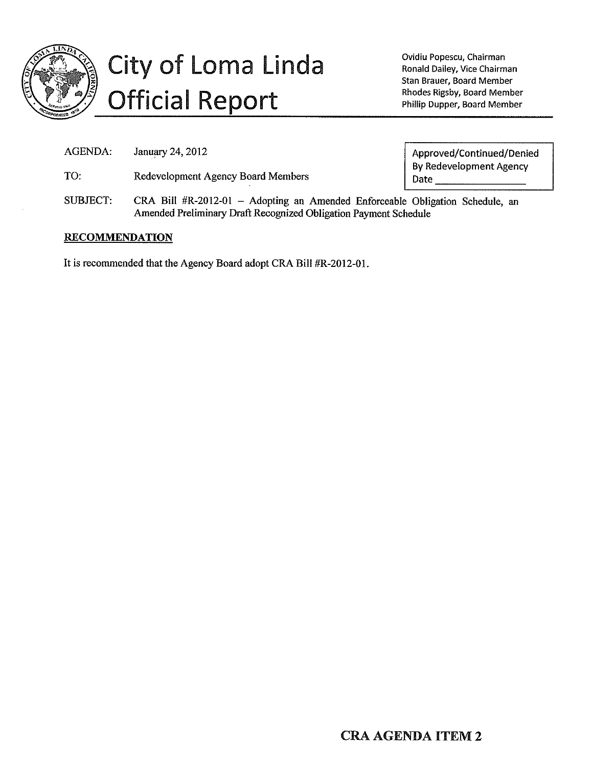

# City of Loma Linda **Official Report**

Ovidiu Popescu, Chairman Ronald Dailey, Vice Chairman Stan Brauer, Board Member Rhodes Rigsby, Board Member Phillip Dupper, Board Member

**AGENDA:** January 24, 2012

TO: Redevelopment Agency Board Members Approved/Continued/Denied **By Redevelopment Agency** Date

**SUBJECT:** CRA Bill #R-2012-01 - Adopting an Amended Enforceable Obligation Schedule, an Amended Preliminary Draft Recognized Obligation Payment Schedule

# **RECOMMENDATION**

It is recommended that the Agency Board adopt CRA Bill #R-2012-01.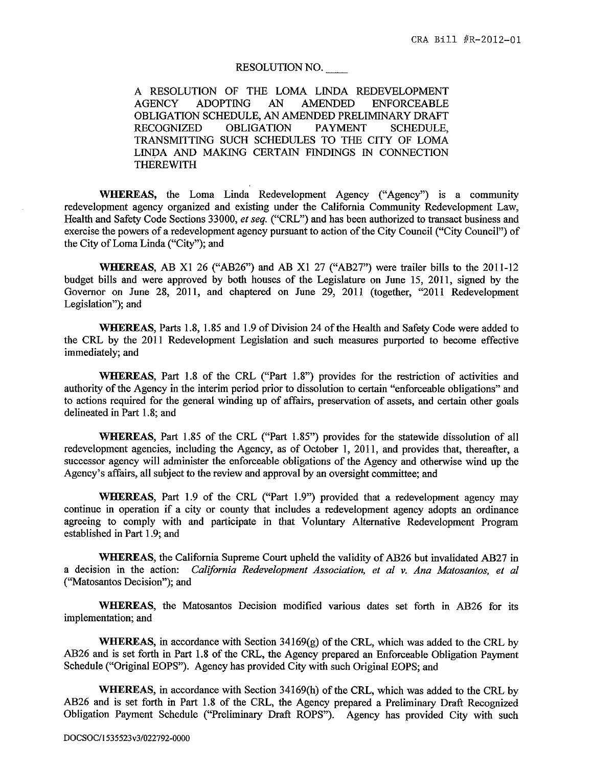#### RESOLUTION NO.

A RESOLUTION OF THE LOMA LINDA REDEVELOPMENT **ADOPTING** AN. **AMENDED AGENCY ENFORCEABLE** OBLIGATION SCHEDULE, AN AMENDED PRELIMINARY DRAFT **RECOGNIZED OBLIGATION PAYMENT SCHEDULE.** TRANSMITTING SUCH SCHEDULES TO THE CITY OF LOMA LINDA AND MAKING CERTAIN FINDINGS IN CONNECTION **THEREWITH** 

WHEREAS, the Loma Linda Redevelopment Agency ("Agency") is a community redevelopment agency organized and existing under the California Community Redevelopment Law, Health and Safety Code Sections 33000, et seq. ("CRL") and has been authorized to transact business and exercise the powers of a redevelopment agency pursuant to action of the City Council ("City Council") of the City of Loma Linda ("City"); and

WHEREAS, AB X1 26 ("AB26") and AB X1 27 ("AB27") were trailer bills to the 2011-12 budget bills and were approved by both houses of the Legislature on June 15, 2011, signed by the Governor on June 28, 2011, and chaptered on June 29, 2011 (together, "2011 Redevelopment Legislation"); and

WHEREAS, Parts 1.8, 1.85 and 1.9 of Division 24 of the Health and Safety Code were added to the CRL by the 2011 Redevelopment Legislation and such measures purported to become effective immediately; and

WHEREAS, Part 1.8 of the CRL ("Part 1.8") provides for the restriction of activities and authority of the Agency in the interim period prior to dissolution to certain "enforceable obligations" and to actions required for the general winding up of affairs, preservation of assets, and certain other goals delineated in Part 1.8; and

WHEREAS, Part 1.85 of the CRL ("Part 1.85") provides for the statewide dissolution of all redevelopment agencies, including the Agency, as of October 1, 2011, and provides that, thereafter, a successor agency will administer the enforceable obligations of the Agency and otherwise wind up the Agency's affairs, all subject to the review and approval by an oversight committee; and

WHEREAS, Part 1.9 of the CRL ("Part 1.9") provided that a redevelopment agency may continue in operation if a city or county that includes a redevelopment agency adopts an ordinance agreeing to comply with and participate in that Voluntary Alternative Redevelopment Program established in Part 1.9; and

WHEREAS, the California Supreme Court upheld the validity of AB26 but invalidated AB27 in a decision in the action: California Redevelopment Association, et al v. Ana Matosantos, et al ("Matosantos Decision"); and

WHEREAS, the Matosantos Decision modified various dates set forth in AB26 for its implementation; and

**WHEREAS**, in accordance with Section  $34169(g)$  of the CRL, which was added to the CRL by AB26 and is set forth in Part 1.8 of the CRL, the Agency prepared an Enforceable Obligation Payment Schedule ("Original EOPS"). Agency has provided City with such Original EOPS; and

WHEREAS, in accordance with Section 34169(h) of the CRL, which was added to the CRL by AB26 and is set forth in Part 1.8 of the CRL, the Agency prepared a Preliminary Draft Recognized Obligation Payment Schedule ("Preliminary Draft ROPS"). Agency has provided City with such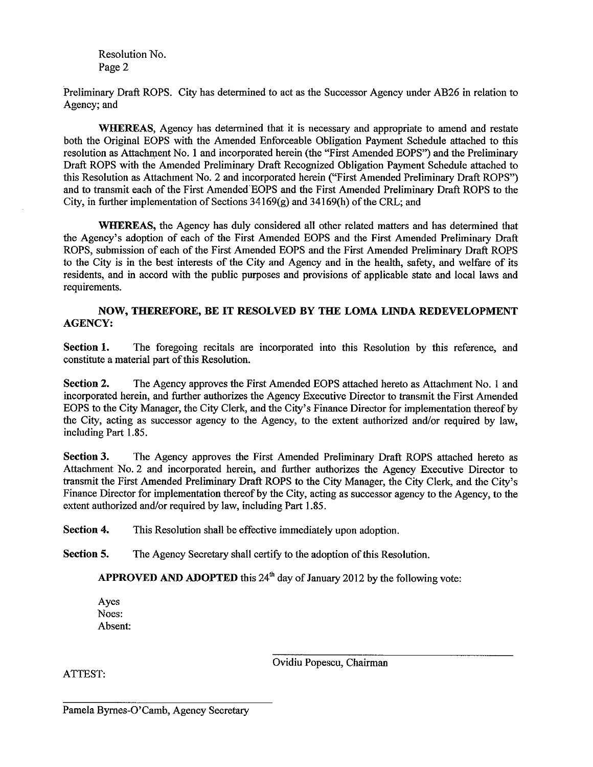Resolution No. Page 2

Preliminary Draft ROPS. City has determined to act as the Successor Agency under AB26 in relation to Agency; and

WHEREAS, Agency has determined that it is necessary and appropriate to amend and restate both the Original EOPS with the Amended Enforceable Obligation Payment Schedule attached to this resolution as Attachment No. 1 and incorporated herein (the "First Amended EOPS") and the Preliminary Draft ROPS with the Amended Preliminary Draft Recognized Obligation Payment Schedule attached to this Resolution as Attachment No. 2 and incorporated herein ("First Amended Preliminary Draft ROPS") and to transmit each of the First Amended EOPS and the First Amended Preliminary Draft ROPS to the City, in further implementation of Sections  $34169(g)$  and  $34169(h)$  of the CRL; and

**WHEREAS**, the Agency has duly considered all other related matters and has determined that the Agency's adoption of each of the First Amended EOPS and the First Amended Preliminary Draft ROPS, submission of each of the First Amended EOPS and the First Amended Preliminary Draft ROPS to the City is in the best interests of the City and Agency and in the health, safety, and welfare of its residents, and in accord with the public purposes and provisions of applicable state and local laws and requirements.

## NOW, THEREFORE, BE IT RESOLVED BY THE LOMA LINDA REDEVELOPMENT **AGENCY:**

Section 1. The foregoing recitals are incorporated into this Resolution by this reference, and constitute a material part of this Resolution.

Section 2. The Agency approves the First Amended EOPS attached hereto as Attachment No. 1 and incorporated herein, and further authorizes the Agency Executive Director to transmit the First Amended EOPS to the City Manager, the City Clerk, and the City's Finance Director for implementation thereof by the City, acting as successor agency to the Agency, to the extent authorized and/or required by law. including Part 1.85.

**Section 3.** The Agency approves the First Amended Preliminary Draft ROPS attached hereto as Attachment No. 2 and incorporated herein, and further authorizes the Agency Executive Director to transmit the First Amended Preliminary Draft ROPS to the City Manager, the City Clerk, and the City's Finance Director for implementation thereof by the City, acting as successor agency to the Agency, to the extent authorized and/or required by law, including Part 1.85.

Section 4. This Resolution shall be effective immediately upon adoption.

Section 5. The Agency Secretary shall certify to the adoption of this Resolution.

APPROVED AND ADOPTED this 24<sup>th</sup> day of January 2012 by the following vote:

Ayes Noes: Absent:

Ovidiu Popescu, Chairman

ATTEST: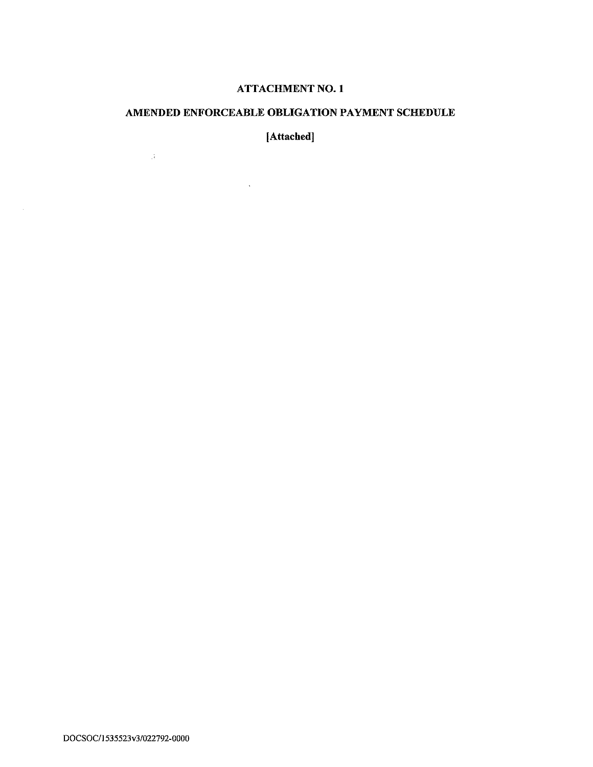# **ATTACHMENT NO. 1**

# AMENDED ENFORCEABLE OBLIGATION PAYMENT SCHEDULE

[Attached]

 $\mathcal{L}^{\text{max}}_{\text{max}}$  , where  $\mathcal{L}^{\text{max}}_{\text{max}}$ 

 $\mathcal{A}=\mathcal{A}$  .

 $\mathcal{L}$ 

DOCSOC/1535523v3/022792-0000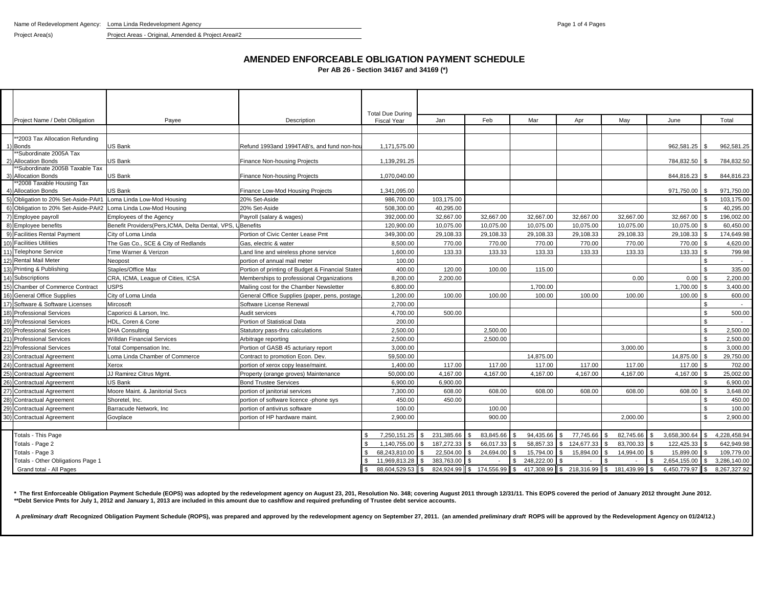Project Area(s) Project Areas - Original, Amended & Project Area#2

**AMENDED ENFORCEABLE OBLIGATION PAYMENT SCHEDULE**

**Per AB 26 - Section 34167 and 34169 (\*)**

|     |                                        |                                                             |                                                  | <b>Total Due During</b> |                            |                               |            |                          |                            |              |                    |              |
|-----|----------------------------------------|-------------------------------------------------------------|--------------------------------------------------|-------------------------|----------------------------|-------------------------------|------------|--------------------------|----------------------------|--------------|--------------------|--------------|
|     | Project Name / Debt Obligation         | Payee                                                       | Description                                      | <b>Fiscal Year</b>      | Jan                        | Feb                           | Mar        | Apr                      | Mav                        | June         |                    | Total        |
|     |                                        |                                                             |                                                  |                         |                            |                               |            |                          |                            |              |                    |              |
|     | **2003 Tax Allocation Refunding        | US Bank                                                     |                                                  |                         |                            |                               |            |                          |                            |              |                    |              |
|     | <b>Bonds</b><br>*Subordinate 2005A Tax |                                                             | Refund 1993and 1994TAB's, and fund non-hou       | 1,171,575.00            |                            |                               |            |                          |                            | 962,581.25   | - \$               | 962,581.25   |
|     | <b>Allocation Bonds</b>                | US Bank                                                     | <b>Finance Non-housing Projects</b>              | 1,139,291.25            |                            |                               |            |                          |                            | 784,832.50   | - \$               | 784,832.50   |
|     | Subordinate 2005B Taxable Tax          |                                                             |                                                  |                         |                            |                               |            |                          |                            |              |                    |              |
|     | 3) Allocation Bonds                    | US Bank                                                     | Finance Non-housing Projects                     | 1,070,040.00            |                            |                               |            |                          |                            | 844,816.23   | - \$               | 844,816.23   |
|     | *2008 Taxable Housing Tax              |                                                             |                                                  |                         |                            |                               |            |                          |                            |              |                    |              |
|     | <b>Allocation Bonds</b>                | US Bank                                                     | Finance Low-Mod Housing Projects                 | 1,341,095.00            |                            |                               |            |                          |                            | 971,750.00   |                    | 971.750.00   |
|     | 5) Obligation to 20% Set-Aside-PA#1    | Loma Linda Low-Mod Housing                                  | 20% Set-Aside                                    | 986,700.00              | 103,175.00                 |                               |            |                          |                            |              | \$.                | 103,175.00   |
|     | 6) Obligation to 20% Set-Aside-PA#2    | Loma Linda Low-Mod Housing                                  | 20% Set-Aside                                    | 508,300.00              | 40,295.00                  |                               |            |                          |                            |              |                    | 40,295.00    |
|     | 7) Employee payroll                    | <b>Employees of the Agency</b>                              | Payroll (salary & wages)                         | 392.000.00              | 32,667.00                  | 32,667.00                     | 32.667.00  | 32.667.00                | 32,667.00                  | 32,667.00    |                    | 196.002.00   |
|     | 8) Employee benefits                   | Benefit Providers (Pers. ICMA, Delta Dental, VPS, UBenefits |                                                  | 120.900.00              | 10,075.00                  | 10,075.00                     | 10.075.00  | 10.075.00                | 10,075.00                  | 10,075.00    | $\mathbf{\hat{f}}$ | 60.450.00    |
|     | 9) Facilities Rental Payment           | City of Loma Linda                                          | Portion of Civic Center Lease Pmt                | 349,300.00              | 29,108.33                  | 29,108.33                     | 29.108.33  | 29,108.33                | 29,108.33                  | 29,108.33    |                    | 174,649.98   |
|     | 10) Facilities Utilities               | The Gas Co., SCE & City of Redlands                         | Gas, electric & water                            | 8,500.00                | 770.00                     | 770.00                        | 770.00     | 770.00                   | 770.00                     | 770.00       |                    | 4,620.00     |
|     | 11) Telephone Service                  | Time Warner & Verizon                                       | and line and wireless phone service.             | 1.600.00                | 133.33                     | 133.33                        | 133.33     | 133.33                   | 133.33                     | 133.33       | $\mathfrak{L}$     | 799.98       |
|     | 12) Rental Mail Meter                  | Neopost                                                     | portion of annual mail meter                     | 100.00                  |                            |                               |            |                          |                            |              | $\mathbf{s}$       | $\sim$       |
|     | 13) Printing & Publishing              | Staples/Office Max                                          | Portion of printing of Budget & Financial Stater | 400.00                  | 120.00                     | 100.00                        | 115.00     |                          |                            |              | $\mathfrak{L}$     | 335.00       |
|     | 14) Subscriptions                      | CRA, ICMA, League of Cities, ICSA                           | Memberships to professional Organizations        | 8.200.00                | 2,200.00                   |                               |            |                          | 0.00                       | 0.00         | $\mathbf{s}$       | 2.200.00     |
|     | 15) Chamber of Commerce Contract       | <b>USPS</b>                                                 | Mailing cost for the Chamber Newsletter          | 6,800.00                |                            |                               | 1,700.00   |                          |                            | 1,700.00     | $\mathfrak{L}$     | 3,400.00     |
|     | 16) General Office Supplies            | City of Loma Linda                                          | General Office Supplies (paper, pens, postage    | 1.200.00                | 100.00                     | 100.00                        | 100.00     | 100.00                   | 100.00                     | 100.00       |                    | 600.00       |
|     | 17) Software & Software Licenses       | Mircosoft                                                   | Software License Renewal                         | 2,700.00                |                            |                               |            |                          |                            |              | $\mathbf{s}$       |              |
| 18) | <b>Professional Services</b>           | Caporicci & Larson, Inc.                                    | Audit services                                   | 4,700.00                | 500.00                     |                               |            |                          |                            |              | \$                 | 500.00       |
|     | 19) Professional Services              | HDL, Coren & Cone                                           | Portion of Statistical Data                      | 200.00                  |                            |                               |            |                          |                            |              | $\mathbf{s}$       | $\sim$       |
|     | 20) Professional Services              | <b>DHA Consulting</b>                                       | Statutory pass-thru calculations                 | 2,500.00                |                            | 2,500.00                      |            |                          |                            |              | \$                 | 2,500.00     |
| 21) | <b>Professional Services</b>           | Willdan Financial Services                                  | Arbitrage reporting                              | 2,500.00                |                            | 2,500.00                      |            |                          |                            |              | $\mathfrak{L}$     | 2,500.00     |
| 22) | <b>Professional Services</b>           | <b>Total Compensation Inc.</b>                              | Portion of GASB 45 acturiary report              | 3,000.00                |                            |                               |            |                          | 3,000.00                   |              | $\mathfrak{L}$     | 3.000.00     |
| 23) | <b>Contractual Agreement</b>           | oma Linda Chamber of Commerce                               | Contract to promotion Econ. Dev.                 | 59,500.00               |                            |                               | 14,875.00  |                          |                            | 14,875.00    |                    | 29,750.00    |
|     | 24) Contractual Agreement              | Xerox                                                       | portion of xerox copy lease/maint.               | 1.400.00                | 117.00                     | 117.00                        | 117.00     | 117.00                   | 117.00                     | 117.00       |                    | 702.00       |
| 25) | <b>Contractual Agreement</b>           | JJ Ramirez Citrus Mgmt.                                     | Property (orange groves) Maintenance             | 50,000.00               | 4,167.00                   | 4,167.00                      | 4.167.00   | 4,167.00                 | 4,167.00                   | 4,167.00     |                    | 25,002.00    |
| 26) | <b>Contractual Agreement</b>           | US Bank                                                     | <b>Bond Trustee Services</b>                     | 6,900.00                | 6,900.00                   |                               |            |                          |                            |              | ፍ                  | 6,900.00     |
| 27) | <b>Contractual Agreement</b>           | Moore Maint, & Janitorial Sycs                              | portion of janitorial services                   | 7.300.00                | 608.00                     | 608.00                        | 608.00     | 608.00                   | 608.00                     | 608.00       | \$.                | 3.648.00     |
| 28  | <b>Contractual Agreement</b>           | Shoretel, Inc.                                              | portion of software licence -phone sys           | 450.00                  | 450.00                     |                               |            |                          |                            |              |                    | 450.00       |
| 29) | <b>Contractual Agreement</b>           | Barracude Network, Inc                                      | portion of antivirus software                    | 100.00                  |                            | 100.00                        |            |                          |                            |              | \$                 | 100.00       |
|     | 30) Contractual Agreement              | Govplace                                                    | portion of HP hardware maint.                    | 2.900.00                |                            | 900.00                        |            |                          | 2.000.00                   |              | \$                 | 2.900.00     |
|     |                                        |                                                             |                                                  |                         |                            |                               |            |                          |                            |              |                    |              |
|     | Totals - This Page                     |                                                             |                                                  | 7.250.151.25            | 231.385.66<br>$\mathbf{s}$ | 83,845.66                     | 94.435.66  | 77.745.66                | 82.745.66                  | 3,658,300.64 |                    | 4.228.458.94 |
|     | Totals - Page 2                        |                                                             |                                                  | 1.140.755.00            | 187,272.33                 | 66,017.33                     | 58,857.33  | 124,677.33               | 83,700.33                  | 122,425.33   |                    | 642,949.98   |
|     | Totals - Page 3                        |                                                             |                                                  | 68.243.810.00           | 22,504.00                  | 24,694.00                     | 15,794.00  | 15,894.00                | 14,994.00                  | 15,899.00    |                    | 109,779.00   |
|     | Totals - Other Obligations Page 1      |                                                             |                                                  | 11,969,813.28           | 383,763.00                 |                               | 248,222.00 |                          |                            | 2,654,155.00 | \$                 | 3,286,140.00 |
|     | Grand total - All Pages                |                                                             |                                                  | 88.604.529.53           | ll \$<br>824.924.99        | $\mathbb{S}$<br>174.556.99 \$ |            | 417.308.99 \$ 218.316.99 | $\mathbf{s}$<br>181.439.99 | 6.450.779.97 | II \$              | 8.267.327.92 |

\* The first Enforceable Obligation Payment Schedule (EOPS) was adopted by the redevelopment agency on August 23, 201, Resolution No. 348; covering August 2011 through 12/31/11. This EOPS covered the period of January 2012 **\*\*Debt Service Pmts for July 1, 2012 and January 1, 2013 are included in this amount due to cashflow and required prefunding of Trustee debt service accounts.**

A preliminary draft Recognized Obligation Payment Schedule (ROPS), was prepared and approved by the redevelopment agency on September 27, 2011. (an amended preliminary draft ROPS will be approved by the Redevelopment Agenc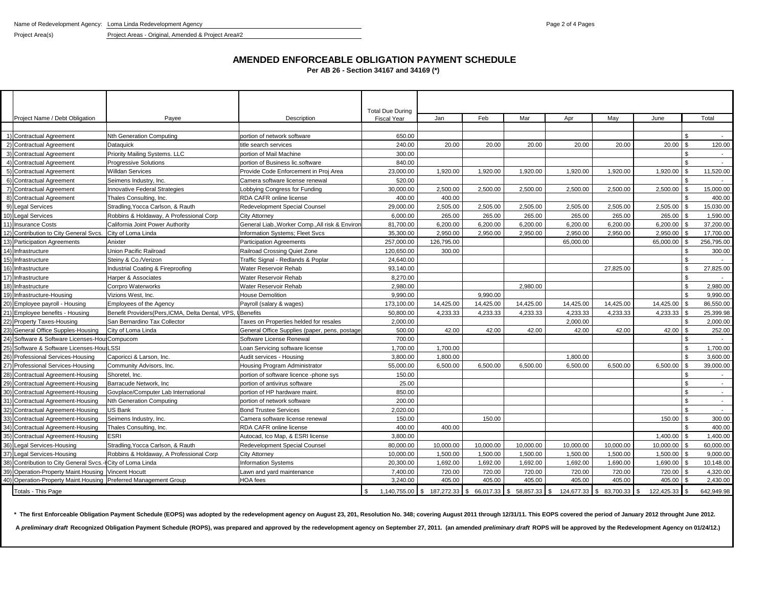Project Area(s) Project Areas - Original, Amended & Project Area#2

# **AMENDED ENFORCEABLE OBLIGATION PAYMENT SCHEDULE**

**Per AB 26 - Section 34167 and 34169 (\*)**

|                                        |                                                             |                                                 | <b>Total Due During</b> |            |           |                  |            |                 |            |                          |
|----------------------------------------|-------------------------------------------------------------|-------------------------------------------------|-------------------------|------------|-----------|------------------|------------|-----------------|------------|--------------------------|
| Project Name / Debt Obligation         | Payee                                                       | Description                                     | <b>Fiscal Year</b>      | Jan        | Feb       | Mar              | Apr        | May             | June       | Total                    |
|                                        |                                                             |                                                 |                         |            |           |                  |            |                 |            |                          |
| 1) Contractual Agreement               | Nth Generation Computing                                    | portion of network software                     | 650.00                  |            |           |                  |            |                 |            |                          |
| 2) Contractual Agreement               | Dataguick                                                   | title search services                           | 240.00                  | 20.00      | 20.00     | 20.00            | 20.00      | 20.00           | 20.00      | 120.00                   |
| 3) Contractual Agreement               | Priority Mailing Systems. LLC                               | portion of Mail Machine                         | 300.00                  |            |           |                  |            |                 |            | $\overline{a}$           |
| 4) Contractual Agreement               | <b>Progressive Solutions</b>                                | portion of Business lic.software                | 840.00                  |            |           |                  |            |                 |            | $\overline{\phantom{a}}$ |
| 5) Contractual Agreement               | Willdan Services                                            | Provide Code Enforcement in Proi Area           | 23,000.00               | 1,920.00   | 1.920.00  | 1.920.00         | 1,920.00   | 1.920.00        | 1,920.00   | 11,520.00                |
| 6) Contractual Agreement               | Seimens Industry, Inc.                                      | Camera software license renewal                 | 520.00                  |            |           |                  |            |                 |            |                          |
| 7) Contractual Agreement               | nnovative Federal Strategies                                | _obbying Congress for Funding                   | 30,000.00               | 2,500.00   | 2,500.00  | 2,500.00         | 2,500.00   | 2,500.00        | 2,500.00   | 15,000.00                |
| 8) Contractual Agreement               | Thales Consulting, Inc.                                     | RDA CAFR online license                         | 400.00                  | 400.00     |           |                  |            |                 |            | 400.00                   |
| 9) Legal Services                      | Stradling, Yocca Carlson, & Rauth                           | Redevelopment Special Counsel                   | 29,000.00               | 2,505.00   | 2.505.00  | 2,505.00         | 2,505.00   | 2,505.00        | 2,505.00   | 15.030.00                |
| 10) Legal Services                     | Robbins & Holdaway, A Professional Corp                     | <b>City Attorney</b>                            | 6,000.00                | 265.00     | 265.00    | 265.00           | 265.00     | 265.00          | 265.00     | 1,590.00                 |
| 11) Insurance Costs                    | California Joint Power Authority                            | General Liab., Worker Comp., All risk & Enviror | 81,700.00               | 6,200.00   | 6,200.00  | 6,200.00         | 6,200.00   | 6,200.00        | 6,200.00   | 37,200.00                |
| 12) Contribution to City General Svcs. | City of Loma Linda                                          | Information Systems; Fleet Svcs                 | 35,300.00               | 2,950.00   | 2.950.00  | 2,950.00         | 2,950.00   | 2,950.00        | 2,950.00   | 17,700.00                |
| 13) Participation Agreements           | Anixter                                                     | <b>Participation Agreements</b>                 | 257,000.00              | 126,795.00 |           |                  | 65,000.00  |                 | 65,000.00  | 256.795.00               |
| 14) Infrastructure                     | Union Pacific Railroad                                      | Railroad Crossing Quiet Zone                    | 120,650.00              | 300.00     |           |                  |            |                 |            | 300.00                   |
| 15) Infrastructure                     | Steiny & Co./Verizon                                        | Traffic Signal - Redlands & Poplar              | 24,640.00               |            |           |                  |            |                 |            |                          |
| 16) Infrastructure                     | Industrial Coating & Fireproofing                           | Water Reservoir Rehab                           | 93,140.00               |            |           |                  |            | 27,825.00       |            | 27,825.00                |
| 17) Infrastructure                     | Harper & Associates                                         | Water Reservoir Rehab                           | 8,270.00                |            |           |                  |            |                 |            |                          |
| 18) Infrastructure                     | Corrpro Waterworks                                          | Water Reservoir Rehab                           | 2,980.00                |            |           | 2,980.00         |            |                 |            | 2,980.00                 |
| 19) Infrastructure-Housing             | Vizions West, Inc.                                          | <b>House Demolition</b>                         | 9,990.00                |            | 9,990.00  |                  |            |                 |            | 9,990.00                 |
| 20) Employee payroll - Housing         | Employees of the Agency                                     | Payroll (salary & wages)                        | 173,100.00              | 14,425.00  | 14.425.00 | 14,425.00        | 14,425.00  | 14,425.00       | 14,425.00  | 86,550.00                |
| 21) Employee benefits - Housing        | Benefit Providers (Pers, ICMA, Delta Dental, VPS, IBenefits |                                                 | 50.800.00               | 4.233.33   | 4.233.33  | 4,233.33         | 4,233.33   | 4,233.33        | 4,233.33   | 25.399.98                |
| 22) Property Taxes-Housing             | San Bernardino Tax Collector                                | Taxes on Properties helded for resales          | 2,000.00                |            |           |                  | 2,000.00   |                 |            | 2,000.00                 |
| 23) General Office Supples-Housing     | City of Loma Linda                                          | General Office Supplies (paper, pens, postage   | 500.00                  | 42.00      | 42.00     | 42.00            | 42.00      | 42.00           | 42.00      | 252.00                   |
| 24) Software & Software Licenses-Hou   | Compucom                                                    | Software License Renewal                        | 700.00                  |            |           |                  |            |                 |            | $\sim$                   |
| 25) Software & Software Licenses-Hou   | LSSI                                                        | Loan Servicing software license                 | 1,700.00                | 1.700.00   |           |                  |            |                 |            | 1.700.00                 |
| 26) Professional Services-Housing      | Caporicci & Larson, Inc.                                    | Audit services - Housing                        | 3,800.00                | 1,800.00   |           |                  | 1,800.00   |                 |            | 3,600.00                 |
| 27) Professional Services-Housing      | Community Advisors, Inc.                                    | Housing Program Administrator                   | 55,000.00               | 6,500.00   | 6,500.00  | 6,500.00         | 6,500.00   | 6,500.00        | 6,500.00   | 39,000.00                |
| 28) Contractual Agreement-Housing      | Shoretel, Inc.                                              | portion of software licence -phone sys          | 150.00                  |            |           |                  |            |                 |            | $\overline{a}$           |
| 29) Contractual Agreement-Housing      | Barracude Network, Inc.                                     | portion of antivirus software                   | 25.00                   |            |           |                  |            |                 |            | $\overline{\phantom{a}}$ |
| 30) Contractual Agreement-Housing      | Govplace/Computer Lab International                         | portion of HP hardware maint.                   | 850.00                  |            |           |                  |            |                 |            | $\sim$                   |
| 31) Contractual Agreement-Housing      | <b>Nth Generation Computing</b>                             | portion of network software                     | 200.00                  |            |           |                  |            |                 |            | $\overline{\phantom{a}}$ |
| 32) Contractual Agreement-Housing      | US Bank                                                     | <b>Bond Trustee Services</b>                    | 2,020.00                |            |           |                  |            |                 |            | $\sim$                   |
| 33) Contractual Agreement-Housing      | Seimens Industry, Inc.                                      | Camera software license renewal                 | 150.00                  |            | 150.00    |                  |            |                 | 150.00     | 300.00                   |
| 34) Contractual Agreement-Housing      | Thales Consulting, Inc.                                     | <b>RDA CAFR online license</b>                  | 400.00                  | 400.00     |           |                  |            |                 |            | 400.00                   |
| 35) Contractual Agreement-Housing      | <b>ESRI</b>                                                 | Autocad, Ico Map, & ESRI license                | 3,800.00                |            |           |                  |            |                 | 1,400.00   | 1.400.00                 |
| 36) Legal Services-Housing             | Stradling, Yocca Carlson, & Rauth                           | Redevelopment Special Counsel                   | 80,000.00               | 10,000.00  | 10,000.00 | 10,000.00        | 10,000.00  | 10,000.00       | 10,000.00  | 60,000.00                |
| 37) Legal Services-Housing             | Robbins & Holdaway, A Professional Corp                     | <b>City Attorney</b>                            | 10,000.00               | 1,500.00   | 1,500.00  | 1,500.00         | 1,500.00   | 1,500.00        | 1,500.00   | 9,000.00                 |
| 38) Contribution to City General Svcs. | City of Loma Linda                                          | <b>Information Systems</b>                      | 20,300.00               | 1,692.00   | 1,692.00  | 1,692.00         | 1,692.00   | 1,690.00        | 1,690.00   | 10,148.00                |
| 39) Operation-Property Maint. Housing  | <b>Vincent Hocutt</b>                                       | Lawn and yard maintenance                       | 7.400.00                | 720.00     | 720.00    | 720.00           | 720.00     | 720.00          | 720.00     | 4.320.00                 |
| 40) Operation-Property Maint. Housing  | Preferred Management Group                                  | <b>HOA</b> fees                                 | 3,240.00                | 405.00     | 405.00    | 405.00           | 405.00     | 405.00          | 405.00     | 2,430.00                 |
| Totals - This Page                     |                                                             |                                                 | 1,140,755.00            |            | 66,017.33 | 58,857.33<br>\$. | 124,677.33 | 83,700.33<br>\$ | 122,425.33 | 642,949.98               |

\* The first Enforceable Obligation Payment Schedule (EOPS) was adopted by the redevelopment agency on August 23, 201, Resolution No. 348; covering August 2011 through 12/31/11. This EOPS covered the period of January 2012

A preliminary draft Recognized Obligation Payment Schedule (ROPS), was prepared and approved by the redevelopment agency on September 27, 2011. (an amended preliminary draft ROPS will be approved by the Redevelopment Agenc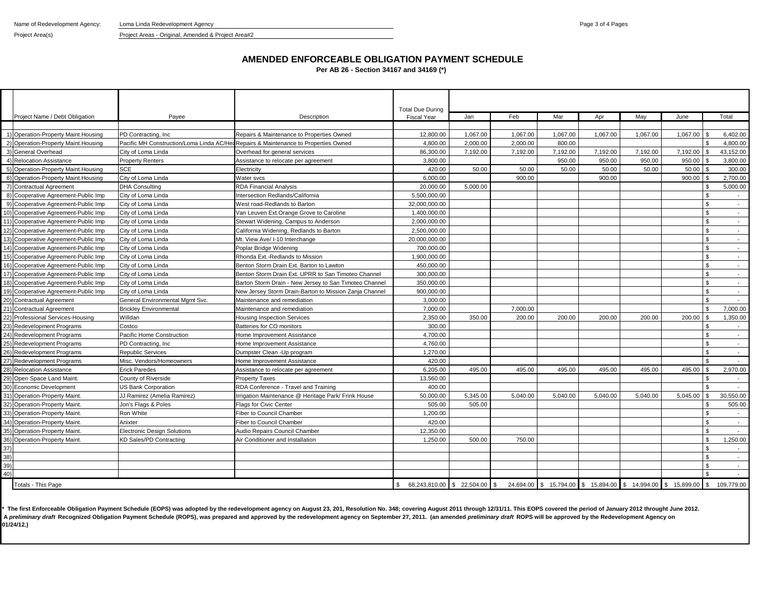Name of Redevelopment Agency: Loma Linda Redevelopment Agency **Name of Redevelopment Agency** Page 3 of 4 Pages

### Project Area(s) Project Areas - Original, Amended & Project Area#2

### **AMENDED ENFORCEABLE OBLIGATION PAYMENT SCHEDULE**

**Per AB 26 - Section 34167 and 34169 (\*)**

| Project Name / Debt Obligation       | Payee                                                                        | Description                                                                        | <b>Total Due During</b><br><b>Fiscal Year</b> | Jan      | Feb      | Mar      | Apr      | May      | June                                                             |                     | Total                    |
|--------------------------------------|------------------------------------------------------------------------------|------------------------------------------------------------------------------------|-----------------------------------------------|----------|----------|----------|----------|----------|------------------------------------------------------------------|---------------------|--------------------------|
|                                      |                                                                              |                                                                                    |                                               |          |          |          |          |          |                                                                  |                     |                          |
| 1) Operation-Property Maint. Housing | PD Contracting, Inc.                                                         | Repairs & Maintenance to Properties Owned                                          | 12.800.00                                     | 1.067.00 | 1.067.00 | 1.067.00 | 1.067.00 | 1.067.00 | 1.067.00                                                         |                     | 6.402.00                 |
| 2) Operation-Property Maint.Housing  |                                                                              | Pacific MH Construction/Loma Linda AC/HeaRepairs & Maintenance to Properties Owned | 4.800.00                                      | 2.000.00 | 2.000.00 | 800.00   |          |          |                                                                  |                     | 4.800.00                 |
| 3) General Overhead                  | City of Loma Linda                                                           | Overhead for general services                                                      | 86,300.00                                     | 7,192.00 | 7,192.00 | 7,192.00 | 7,192.00 | 7,192.00 | 7,192.00                                                         |                     | 43,152.00                |
| 4) Relocation Assistance             | <b>Property Renters</b>                                                      | Assistance to relocate per agreement                                               | 3,800.00                                      |          |          | 950.00   | 950.00   | 950.00   | 950.00                                                           |                     | 3,800.00                 |
| 5) Operation-Property Maint. Housing | <b>SCE</b>                                                                   | Electricity                                                                        | 420.00                                        | 50.00    | 50.00    | 50.00    | 50.00    | 50.00    | 50.00                                                            | 300.00              |                          |
| 6) Operation-Property Maint.Housing  | City of Loma Linda                                                           | Water svcs                                                                         | 6,000.00                                      |          | 900.00   |          | 900.00   |          | 900.00                                                           |                     | 2.700.00                 |
| 7) Contractual Agreement             | <b>DHA Consulting</b>                                                        | <b>RDA Financial Analysis</b>                                                      | 20,000.00                                     | 5,000.00 |          |          |          |          |                                                                  |                     | 5,000.00                 |
| 8) Cooperative Agreement-Public Imp  | City of Loma Linda                                                           | Intersection Redlands/California                                                   | 5.500.000.00                                  |          |          |          |          |          |                                                                  |                     | $\sim$                   |
| 9) Cooperative Agreement-Public Imp  | City of Loma Linda                                                           | West road-Redlands to Barton                                                       | 32,000,000.00                                 |          |          |          |          |          |                                                                  | $\hat{\mathcal{L}}$ | $\sim$                   |
| 10) Cooperative Agreement-Public Imp | City of Loma Linda                                                           | Van Leuven Ext.Orange Grove to Caroline                                            | 1,400,000.00                                  |          |          |          |          |          |                                                                  | \$                  | $\sim$                   |
| 11) Cooperative Agreement-Public Imp | City of Loma Linda                                                           | Stewart Widening, Campus to Anderson                                               | 2,000,000.00                                  |          |          |          |          |          |                                                                  | \$.                 | $\sim$                   |
| 12) Cooperative Agreement-Public Imp | City of Loma Linda                                                           | California Widening, Redlands to Barton                                            | 2,500,000.00                                  |          |          |          |          |          |                                                                  | ፍ                   | $\sim$                   |
| 13) Cooperative Agreement-Public Imp | City of Loma Linda                                                           | Mt. View Ave/ I-10 Interchange                                                     | 20,000,000.00                                 |          |          |          |          |          |                                                                  | ፍ                   | $\sim$                   |
| 14) Cooperative Agreement-Public Imp | City of Loma Linda                                                           | Poplar Bridge Widening                                                             | 700,000.00                                    |          |          |          |          |          |                                                                  |                     | $\sim$                   |
| 15) Cooperative Agreement-Public Imp | City of Loma Linda                                                           | Rhonda Ext.-Redlands to Mission                                                    |                                               |          |          |          |          |          |                                                                  | <b>R</b>            | $\sim$                   |
| 16) Cooperative Agreement-Public Imp | City of Loma Linda                                                           | Benton Storm Drain Ext. Barton to Lawton                                           |                                               |          |          |          |          |          |                                                                  | ፍ                   |                          |
| 17) Cooperative Agreement-Public Imp | City of Loma Linda<br>Benton Storm Drain Ext. UPRR to San Timoteo Channel    |                                                                                    | 300,000.00                                    |          |          |          |          |          |                                                                  |                     | $\sim$                   |
| 18) Cooperative Agreement-Public Imp | Barton Storm Drain - New Jersey to San Timoteo Channel<br>City of Loma Linda |                                                                                    | 350,000.00                                    |          |          |          |          |          |                                                                  | ς.                  | $\sim$                   |
| 19) Cooperative Agreement-Public Imp | City of Loma Linda                                                           | New Jersey Storm Drain-Barton to Mission Zanja Channel                             |                                               |          |          |          |          |          |                                                                  | ፍ                   | $\sim$                   |
| 20) Contractual Agreement            | General Environmental Mgmt Svc.                                              | Maintenance and remediation                                                        | 3,000.00                                      |          |          |          |          |          |                                                                  | ¢                   |                          |
| 21) Contractual Agreement            | <b>Brickley Environmental</b>                                                | Maintenance and remediation                                                        | 7,000.00                                      |          | 7,000.00 |          |          |          |                                                                  | $\mathfrak{L}$      | 7,000.00                 |
| 22) Professional Services-Housing    | Willdan                                                                      | <b>Housing Inspection Services</b>                                                 | 2,350.00                                      | 350.00   | 200.00   | 200.00   | 200.00   | 200.00   | 200.00                                                           |                     | 1,350.00                 |
| 23) Redevelopment Programs           | Costco                                                                       | Batteries for CO monitors                                                          | 300.00                                        |          |          |          |          |          |                                                                  |                     |                          |
| 24) Redevelopment Programs           | Pacific Home Construction                                                    | Home Improvement Assistance                                                        | 4,700.00                                      |          |          |          |          |          |                                                                  |                     | $\sim$                   |
| 25) Redevelopment Programs           | PD Contracting, Inc.                                                         | Home Improvement Assistance                                                        | 4,760.00                                      |          |          |          |          |          |                                                                  | \$                  | $\sim$                   |
| 26) Redevelopment Programs           | Republic Services                                                            | Dumpster Clean - Up program                                                        | 1.270.00                                      |          |          |          |          |          |                                                                  | ፍ                   | $\sim$                   |
| 27) Redevelopment Programs           | <b>Misc. Vendors/Homeowners</b>                                              | Home Improvement Assistance                                                        | 420.00                                        |          |          |          |          |          |                                                                  |                     |                          |
| 28) Relocation Assistance            | <b>Erick Paredes</b>                                                         | Assistance to relocate per agreement                                               | 6.205.00                                      | 495.00   | 495.00   | 495.00   | 495.00   | 495.00   | 495.00                                                           |                     | 2,970.00                 |
| 29) Open Space Land Maint.           | County of Riverside                                                          | <b>Property Taxes</b>                                                              | 13,560.00                                     |          |          |          |          |          |                                                                  |                     | $\overline{\phantom{a}}$ |
| 30) Economic Development             | US Bank Corporation                                                          | RDA Conference - Travel and Training                                               | 400.00                                        |          |          |          |          |          |                                                                  |                     |                          |
| 31) Operation-Property Maint         | JJ Ramirez (Amelia Ramirez)                                                  | Irrigation Maintenance @ Heritage Park/ Frink House                                | 50.000.00                                     | 5,345.00 | 5.040.00 | 5.040.00 | 5.040.00 | 5.040.00 | 5,045.00                                                         | \$                  | 30,550.00                |
| 32) Operation-Property Maint         | Jon's Flags & Poles                                                          | Flags for Civic Center                                                             | 505.00                                        | 505.00   |          |          |          |          |                                                                  | \$                  | 505.00                   |
| 33) Operation-Property Maint         | Ron White                                                                    | Fiber to Council Chamber                                                           | 1.200.00                                      |          |          |          |          |          |                                                                  | ፍ                   | $\sim$                   |
| 34) Operation-Property Maint.        | Anixter                                                                      | Fiber to Council Chamber                                                           | 420.00                                        |          |          |          |          |          |                                                                  | \$                  | $\sim$                   |
| 35) Operation-Property Maint         | Electronic Design Solutions                                                  | Audio Repairs Council Chamber                                                      |                                               |          |          |          |          |          |                                                                  | \$                  |                          |
| 36) Operation-Property Maint.        | KD Sales/PD Contracting                                                      | Air Conditioner and Installation                                                   | 1,250.00                                      | 500.00   | 750.00   |          |          |          |                                                                  | $\mathcal{L}$       | 1,250.00                 |
| 37)                                  |                                                                              |                                                                                    |                                               |          |          |          |          |          |                                                                  | ፍ                   |                          |
| 38)                                  |                                                                              |                                                                                    |                                               |          |          |          |          |          |                                                                  |                     |                          |
| 39)                                  |                                                                              |                                                                                    |                                               |          |          |          |          |          |                                                                  |                     |                          |
| 40)                                  |                                                                              |                                                                                    |                                               |          |          |          |          |          |                                                                  | \$                  | $\sim$                   |
| <b>Totals - This Page</b>            |                                                                              |                                                                                    | 68,243,810.00 \$ 22,504.00 \$<br><b>S</b>     |          |          |          |          |          | 24,694.00 \$ 15,794.00 \$ 15,894.00 \$ 14,994.00 \$ 15,899.00 \$ |                     | 109.779.00               |

A preliminary draft Recognized Obligation Payment Schedule (ROPS), was prepared and approved by the redevelopment agency on September 27, 2011. (an amended preliminary draft ROPS will be approved by the Redevelopment Agenc **01/24/12.)** The first Enforceable Obligation Payment Schedule (EOPS) was adopted by the redevelopment agency on August 23, 201, Resolution No. 348; covering August 2011 through 12/31/11. This EOPS covered the period of January 2012 th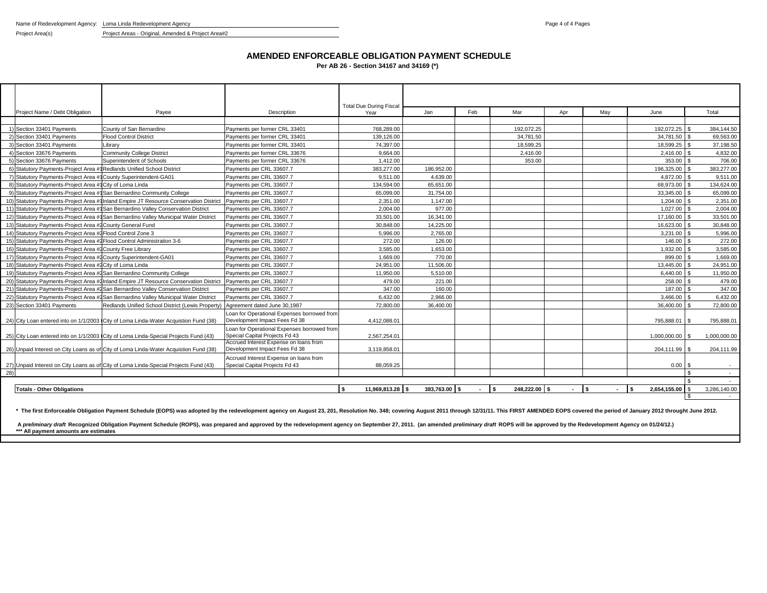Name of Redevelopment Agency: Loma Linda Redevelopment Agency **Page 4 of 4 Pages** Page 4 of 4 Pages

Project Area(s) Project Areas - Original, Amended & Project Area#2

#### **AMENDED ENFORCEABLE OBLIGATION PAYMENT SCHEDULE**

**Per AB 26 - Section 34167 and 34169 (\*)**

|     | Project Name / Debt Obligation                                         | Payee                                                                                  | Description                                                                  | <b>Total Due During Fiscal</b><br>Year | Jan           | Feb    | Mar           | Apr    | May           | June                                     |     | Total         |
|-----|------------------------------------------------------------------------|----------------------------------------------------------------------------------------|------------------------------------------------------------------------------|----------------------------------------|---------------|--------|---------------|--------|---------------|------------------------------------------|-----|---------------|
|     |                                                                        |                                                                                        |                                                                              |                                        |               |        |               |        |               |                                          |     |               |
|     | Section 33401 Payments                                                 | County of San Bernardino                                                               | Payments per former CRL 33401                                                | 768.289.00                             |               |        | 192.072.25    |        |               | 192.072.25 \$                            |     | 384.144.50    |
|     | 2) Section 33401 Payments                                              | <b>Flood Control District</b>                                                          | Payments per former CRL 33401                                                | 139,126.00                             |               |        | 34,781.50     |        |               | 34,781.50 \$                             |     | 69,563.00     |
|     | 3) Section 33401 Payments                                              | Librarv                                                                                | Payments per former CRL 33401                                                | 74,397.00                              |               |        | 18,599.25     |        |               | 18,599.25 \$                             |     | 37,198.50     |
|     | 4) Section 33676 Payments                                              | <b>Community College District</b>                                                      | Payments per former CRL 33676                                                | 9.664.00                               |               |        | 2.416.00      |        |               | 2.416.00                                 |     | 4,832.00      |
|     | 5) Section 33676 Payments                                              | Superintendent of Schools                                                              | Payments per former CRL 33676                                                | 1.412.00                               |               |        | 353.00        |        |               | 353.00                                   |     | 706.00        |
|     | 6) Statutory Payments-Project Area #1Redlands Unified School District  |                                                                                        | Payments per CRL 33607.7                                                     | 383,277,00                             | 186.952.00    |        |               |        |               | 196.325.00                               |     | 383,277.00    |
|     | 7) Statutory Payments-Project Area #1County Superintendent-GA01        |                                                                                        | Payments per CRL 33607.7                                                     | 9.511.00                               | 4.639.00      |        |               |        |               | 4.872.00 \$                              |     | 9,511.00      |
|     | 8) Statutory Payments-Project Area #1 City of Loma Linda               |                                                                                        | Payments per CRL 33607.7                                                     | 134,594.00                             | 65.651.00     |        |               |        |               | 68.973.00                                |     | 134,624.00    |
|     |                                                                        | 9) Statutory Payments-Project Area #1San Bernardino Community College                  | Payments per CRL 33607.7                                                     | 65,099.00                              | 31,754.00     |        |               |        |               | 33,345.00                                |     | 65,099.00     |
|     |                                                                        | 10) Statutory Payments-Project Area #1 Inland Empire JT Resource Conservation District | Payments per CRL 33607.7                                                     | 2.351.00                               | 1.147.00      |        |               |        |               | 1,204.00 \$                              |     | 2,351.00      |
|     |                                                                        | 11) Statutory Payments-Project Area #1San Bernardino Valley Conservation District      | Payments per CRL 33607.7                                                     | 2,004.00                               | 977.00        |        |               |        |               | 1,027.00 \$                              |     | 2,004.00      |
|     |                                                                        | 12) Statutory Payments-Project Area #1San Bernardino Valley Municipal Water District   | Payments per CRL 33607.7                                                     | 33,501.00                              | 16,341.00     |        |               |        |               | 17,160.00 \$                             |     | 33,501.00     |
|     | 13) Statutory Payments-Project Area #2 County General Fund             |                                                                                        | Payments per CRL 33607.7                                                     | 30.848.00                              | 14.225.00     |        |               |        |               | 16,623,00 \$                             |     | 30,848.00     |
|     | 14) Statutory Payments-Project Area #2 Flood Control Zone 3            |                                                                                        | Payments per CRL 33607.7                                                     | 5,996.00                               | 2,765.00      |        |               |        |               | $3,231.00$ \$                            |     | 5,996.00      |
|     | 15) Statutory Payments-Project Area #2Flood Control Administration 3-6 |                                                                                        | Payments per CRL 33607.7                                                     | 272.00                                 | 126.00        |        |               |        |               | 146.00                                   |     | 272.00        |
|     | 16) Statutory Payments-Project Area #2 County Free Library             |                                                                                        | Payments per CRL 33607.7                                                     | 3.585.00                               | 1.653.00      |        |               |        |               | 1.932.00                                 |     | 3,585.00      |
|     | 17) Statutory Payments-Project Area #2 County Superintendent-GA01      |                                                                                        | Payments per CRL 33607.7                                                     | 1.669.00                               | 770.00        |        |               |        |               | 899.00                                   |     | 1,669.00      |
|     | 18) Statutory Payments-Project Area #2 City of Loma Linda              |                                                                                        | Payments per CRL 33607.7                                                     | 24.951.00                              | 11.506.00     |        |               |        |               | 13,445.00                                |     | 24,951.00     |
|     |                                                                        | 19) Statutory Payments-Project Area #2 San Bernardino Community College                | Payments per CRL 33607.7                                                     | 11,950.00                              | 5.510.00      |        |               |        |               | $6.440.00$ \ \$                          |     | 11,950.00     |
|     |                                                                        | 20) Statutory Payments-Project Area #2 Inland Empire JT Resource Conservation District | Payments per CRL 33607.7                                                     | 479.00                                 | 221.00        |        |               |        |               | 258.00 \$                                |     | 479.00        |
|     |                                                                        | 21) Statutory Payments-Project Area #2San Bernardino Valley Conservation District      | Payments per CRL 33607.7                                                     | 347.00                                 | 160.00        |        |               |        |               | 187.00                                   |     | 347.00        |
|     |                                                                        | 22) Statutory Payments-Project Area #2San Bernardino Valley Municipal Water District   | Payments per CRL 33607.7                                                     | 6.432.00                               | 2.966.00      |        |               |        |               | 3.466.00                                 |     | 6,432.00      |
|     | 23) Section 33401 Payments                                             | Redlands Unified School District (Lewis Property)                                      | Agreement dated June 30,1987                                                 | 72,800.00                              | 36,400.00     |        |               |        |               | 36,400.00                                |     | 72,800.00     |
|     |                                                                        | 24) City Loan entered into on 1/1/2003 City of Loma Linda-Water Acquistion Fund (38)   | Loan for Operational Expenses borrowed from<br>Development Impact Fees Fd 38 | 4,412,088.01                           |               |        |               |        |               | 795,888.01                               |     | 795,888.01    |
|     |                                                                        |                                                                                        | Loan for Operational Expenses borrowed from                                  |                                        |               |        |               |        |               |                                          |     |               |
|     |                                                                        | 25) City Loan entered into on 1/1/2003 City of Loma Linda-Special Projects Fund (43)   | Special Capital Projects Fd 43                                               | 2.567.254.01                           |               |        |               |        |               | 1.000.000.00                             | l S | 1.000.000.00  |
|     |                                                                        |                                                                                        | Accrued Interest Expense on loans from                                       |                                        |               |        |               |        |               |                                          |     |               |
|     |                                                                        | 26) Unpaid Interest on City Loans as of City of Loma Linda-Water Acquistion Fund (38)  | Development Impact Fees Fd 38                                                | 3.119.858.01                           |               |        |               |        |               | 204,111.99                               | IS. | 204,111.99    |
|     |                                                                        |                                                                                        | Accrued Interest Expense on loans from                                       |                                        |               |        |               |        |               |                                          |     |               |
|     |                                                                        | 27) Unpaid Interest on City Loans as of City of Loma Linda-Special Projects Fund (43)  | Special Capital Projects Fd 43                                               | 88,059.25                              |               |        |               |        |               | $0.00$ \$                                |     |               |
| 28) |                                                                        |                                                                                        |                                                                              |                                        |               |        |               |        |               |                                          | \$  | $\sim$ $\sim$ |
|     |                                                                        |                                                                                        |                                                                              |                                        |               |        |               |        |               |                                          |     |               |
|     | <b>Totals - Other Obligations</b>                                      |                                                                                        |                                                                              | <sup>s</sup><br>11.969.813.28 \$       | 383.763.00 \$ | $-1$ s | 248.222.00 \$ | $\sim$ | l S<br>$\sim$ | $\overline{\phantom{a}}$<br>2,654,155.00 |     | 3,286,140.00  |
|     |                                                                        |                                                                                        |                                                                              |                                        |               |        |               |        |               |                                          |     |               |

\* The first Enforceable Obligation Payment Schedule (EOPS) was adopted by the redevelopment agency on August 23, 201, Resolution No. 348; covering August 2011 through 12/31/11. This FIRST AMENDED EOPS covered the period of

A *preliminary draft* Recognized Obligation Payment Schedule (ROPS), was prepared and approved by the redevelopment agency on September 27, 2011. (an amended *preliminary draft* ROPS will be approved by the Redevelopment A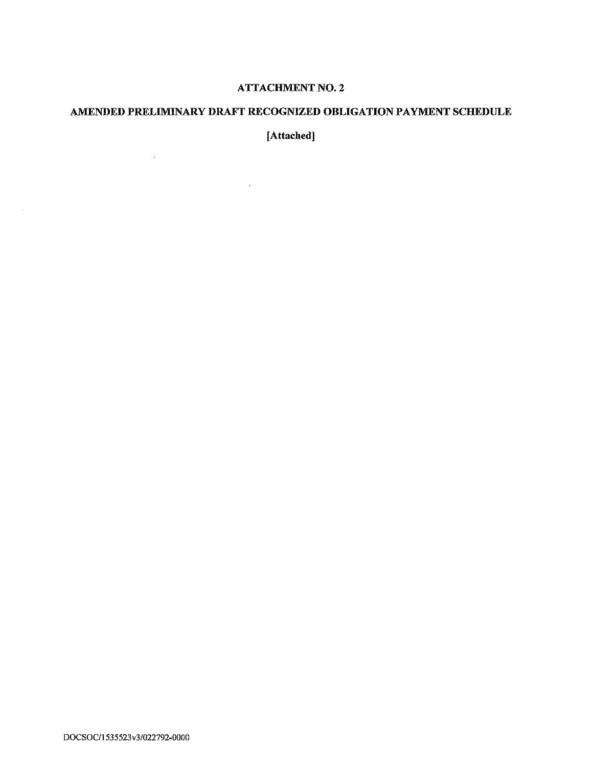# **ATTACHMENT NO. 2**

# AMENDED PRELIMINARY DRAFT RECOGNIZED OBLIGATION PAYMENT SCHEDULE

[Attached]

 $\mathcal{L}^{\text{max}}_{\text{max}}$  and  $\mathcal{L}^{\text{max}}_{\text{max}}$ 

 $\label{eq:2.1} \frac{1}{\sqrt{2}}\left(\frac{1}{\sqrt{2}}\right)^{2} \left(\frac{1}{\sqrt{2}}\right)^{2} \left(\frac{1}{\sqrt{2}}\right)^{2} \left(\frac{1}{\sqrt{2}}\right)^{2} \left(\frac{1}{\sqrt{2}}\right)^{2} \left(\frac{1}{\sqrt{2}}\right)^{2} \left(\frac{1}{\sqrt{2}}\right)^{2} \left(\frac{1}{\sqrt{2}}\right)^{2} \left(\frac{1}{\sqrt{2}}\right)^{2} \left(\frac{1}{\sqrt{2}}\right)^{2} \left(\frac{1}{\sqrt{2}}\right)^{2} \left(\$ 

 $\mathcal{L}_{\mathcal{L}}$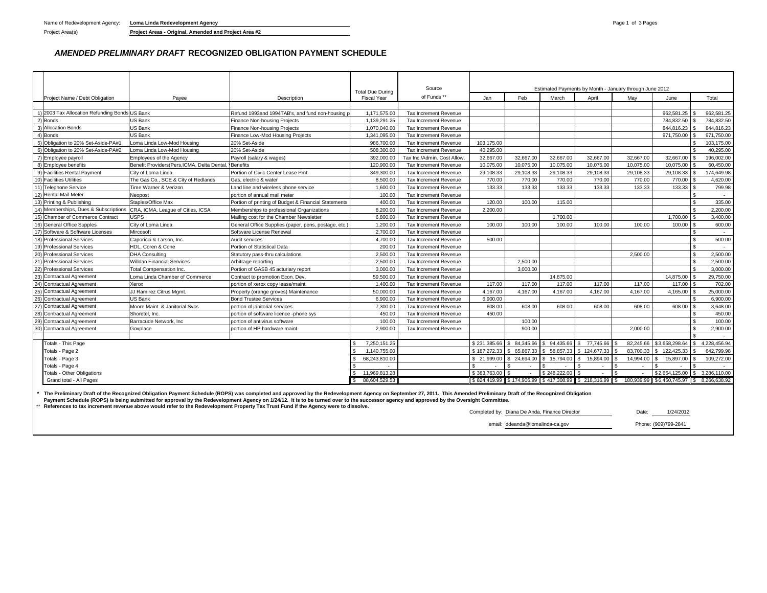Project Area(s) **Project Areas - Original, Amended and Project Area #2**

#### *AMENDED PRELIMINARY DRAFT* **RECOGNIZED OBLIGATION PAYMENT SCHEDULE**

|     |                                                |                                                        |                                                                                                                                                                                                                      |                                | Source                       |              |                     |                  |                           |                                                         |                                         |                |              |
|-----|------------------------------------------------|--------------------------------------------------------|----------------------------------------------------------------------------------------------------------------------------------------------------------------------------------------------------------------------|--------------------------------|------------------------------|--------------|---------------------|------------------|---------------------------|---------------------------------------------------------|-----------------------------------------|----------------|--------------|
|     |                                                |                                                        |                                                                                                                                                                                                                      | <b>Total Due During</b>        | of Funds**                   |              |                     |                  |                           | Estimated Payments by Month - January through June 2012 |                                         |                |              |
|     | Project Name / Debt Obligation                 | Payee                                                  | Description                                                                                                                                                                                                          | <b>Fiscal Year</b>             |                              | Jan          | Feb                 | March            | April                     | May                                                     | June                                    |                | Total        |
|     | 1) 2003 Tax Allocation Refunding Bonds US Bank |                                                        | Refund 1993and 1994TAB's, and fund non-housing                                                                                                                                                                       | 1,171,575.00                   | <b>Tax Increment Revenue</b> |              |                     |                  |                           |                                                         | 962,581.25                              |                | 962,581.25   |
|     | 2) Bonds                                       | <b>US Bank</b>                                         | <b>Finance Non-housing Projects</b>                                                                                                                                                                                  | 1,139,291.25                   | <b>Tax Increment Revenue</b> |              |                     |                  |                           |                                                         | 784.832.50                              |                | 784.832.50   |
|     | <b>Allocation Bonds</b>                        | <b>US Bank</b>                                         | <b>Finance Non-housing Projects</b>                                                                                                                                                                                  | 1.070.040.00                   | <b>Tax Increment Revenue</b> |              |                     |                  |                           |                                                         | 844.816.23                              |                | 844.816.23   |
|     | 4) Bonds                                       | <b>US Bank</b>                                         | Finance Low-Mod Housing Projects                                                                                                                                                                                     | 1,341,095.00                   | <b>Tax Increment Revenue</b> |              |                     |                  |                           |                                                         | 971,750.00                              |                | 971,750.00   |
|     | Obligation to 20% Set-Aside-PA#1               | Loma Linda Low-Mod Housing                             | 20% Set-Aside                                                                                                                                                                                                        | 986.700.00                     | <b>Tax Increment Revenue</b> | 103.175.00   |                     |                  |                           |                                                         |                                         |                | 103.175.00   |
|     | 6) Obligation to 20% Set-Aside-PA#2            | Loma Linda Low-Mod Housing                             | 20% Set-Aside                                                                                                                                                                                                        | 508,300.00                     | <b>Tax Increment Revenue</b> | 40,295.00    |                     |                  |                           |                                                         |                                         |                | 40,295.00    |
|     | 7) Employee payroll                            | Employees of the Agency                                | Payroll (salary & wages)                                                                                                                                                                                             | 392,000.00                     | Tax Inc./Admin. Cost Allow.  | 32,667.00    | 32,667.00           | 32,667.00        | 32.667.00                 | 32.667.00                                               | 32,667.00                               | \$             | 196.002.00   |
|     | 8) Employee benefits                           | Benefit Providers (Pers, ICMA, Delta Dental, 'Benefits |                                                                                                                                                                                                                      | 120,900.00                     | <b>Tax Increment Revenue</b> | 10,075.00    | 10,075.00           | 10,075.00        | 10,075.00                 | 10,075.00                                               | 10,075.00                               |                | 60,450.00    |
|     | 9) Facilities Rental Payment                   | City of Loma Linda                                     | Portion of Civic Center Lease Pmt                                                                                                                                                                                    | 349,300.00                     | Tax Increment Revenue        | 29,108.33    | 29,108.33           | 29,108.33        | 29,108.33                 | 29,108.33                                               | 29,108.33                               | £.             | 174,649.98   |
|     | <b>Facilities Utilities</b>                    | The Gas Co., SCE & City of Redlands                    | Gas, electric & water                                                                                                                                                                                                | 8,500.00                       | <b>Tax Increment Revenue</b> | 770.00       | 770.00              | 770.00           | 770.00                    | 770.00                                                  | 770.00                                  |                | 4,620.00     |
|     | 11) Telephone Service                          | Time Warner & Verizon                                  | Land line and wireless phone service                                                                                                                                                                                 | 1,600.00                       | <b>Tax Increment Revenue</b> | 133.33       | 133.33              | 133.33           | 133.33                    | 133.33                                                  | 133.33                                  |                | 799.98       |
|     | 12) Rental Mail Meter                          | Neopost                                                | portion of annual mail meter                                                                                                                                                                                         | 100.00                         | Tax Increment Revenue        |              |                     |                  |                           |                                                         |                                         | \$.            |              |
|     | 13) Printing & Publishing                      | Staples/Office Max                                     | Portion of printing of Budget & Financial Statements                                                                                                                                                                 | 400.00                         | Tax Increment Revenue        | 120.00       | 100.00              | 115.00           |                           |                                                         |                                         | \$             | 335.00       |
|     | 14) Memberships, Dues & Subscriptions          | CRA, ICMA, League of Cities, ICSA                      | Memberships to professional Organizations                                                                                                                                                                            | 8.200.00                       | <b>Tax Increment Revenue</b> | 2.200.00     |                     |                  |                           |                                                         |                                         | \$             | 2.200.00     |
|     | 15) Chamber of Commerce Contract               | <b>USPS</b>                                            | Mailing cost for the Chamber Newsletter                                                                                                                                                                              | 6,800.00                       | <b>Tax Increment Revenue</b> |              |                     | 1,700.00         |                           |                                                         | 1,700.00                                | £.             | 3,400.00     |
|     | <b>General Office Supples</b>                  | City of Loma Linda                                     | General Office Supplies (paper, pens, postage, etc.                                                                                                                                                                  | 1.200.00                       | <b>Tax Increment Revenue</b> | 100.00       | 100.00              | 100.00           | 100.00                    | 100.00                                                  | 100.00                                  | \$.            | 600.00       |
|     | 17) Software & Software Licenses               | Mircosoft                                              | Software License Renewal                                                                                                                                                                                             | 2,700.00                       | <b>Tax Increment Revenue</b> |              |                     |                  |                           |                                                         |                                         | \$.            |              |
|     | <b>Professional Services</b>                   | Caporicci & Larson, Inc.                               | Audit services                                                                                                                                                                                                       | 4.700.00                       | <b>Tax Increment Revenue</b> | 500.00       |                     |                  |                           |                                                         |                                         | \$.            | 500.00       |
|     | 19) Professional Services                      | HDL, Coren & Cone                                      | Portion of Statistical Data                                                                                                                                                                                          | 200.00                         | Tax Increment Revenue        |              |                     |                  |                           |                                                         |                                         | \$             | $\sim$       |
|     | <b>Professional Services</b>                   | <b>DHA Consulting</b>                                  | Statutory pass-thru calculations                                                                                                                                                                                     | 2.500.00                       | Tax Increment Revenue        |              |                     |                  |                           | 2.500.00                                                |                                         | $\mathbf{s}$   | 2,500.00     |
|     | <b>Professional Services</b>                   | <b>Willdan Financial Services</b>                      | Arbitrage reporting                                                                                                                                                                                                  | 2,500.00                       | Tax Increment Revenue        |              | 2,500.00            |                  |                           |                                                         |                                         | \$             | 2,500.00     |
|     | <b>Professional Services</b>                   | <b>Total Compensation Inc.</b>                         | Portion of GASB 45 acturiary report                                                                                                                                                                                  | 3,000.00                       | <b>Tax Increment Revenue</b> |              | 3,000.00            |                  |                           |                                                         |                                         | £.             | 3,000.00     |
|     | <b>Contractual Agreement</b>                   | Loma Linda Chamber of Commerce                         | Contract to promotion Econ. Dev.                                                                                                                                                                                     | 59,500.00                      | <b>Tax Increment Revenue</b> |              |                     | 14,875.00        |                           |                                                         | 14,875.00                               | $\mathfrak{S}$ | 29,750.00    |
|     | <b>Contractual Agreement</b>                   | Xerox                                                  | portion of xerox copy lease/maint.                                                                                                                                                                                   | 1.400.00                       | Tax Increment Revenue        | 117.00       | 117.00              | 117.00           | 117.00                    | 117.00                                                  | 117.00                                  |                | 702.00       |
|     | 25) Contractual Agreement                      | JJ Ramirez Citrus Mgmt.                                | Property (orange groves) Maintenance                                                                                                                                                                                 | 50,000.00                      | <b>Tax Increment Revenue</b> | 4,167.00     | 4.167.00            | 4.167.00         | 4.167.00                  | 4,167.00                                                | 4,165.00 \$                             |                | 25,000.00    |
|     | <b>Contractual Agreement</b>                   | <b>US Bank</b>                                         | <b>Bond Trustee Services</b>                                                                                                                                                                                         | 6,900.00                       | Tax Increment Revenue        | 6,900.00     |                     |                  |                           |                                                         |                                         |                | 6,900.00     |
|     | 27) Contractual Agreement                      | Moore Maint, & Janitorial Svcs                         | portion of janitorial services                                                                                                                                                                                       | 7.300.00                       | <b>Tax Increment Revenue</b> | 608.00       | 608.00              | 608.00           | 608.00                    | 608.00                                                  | 608.00                                  | £.             | 3.648.00     |
|     | <b>Contractual Agreement</b>                   | Shoretel, Inc.                                         | portion of software licence -phone sys                                                                                                                                                                               | 450.00                         | Tax Increment Revenue        | 450.00       |                     |                  |                           |                                                         |                                         | ፍ              | 450.00       |
| 29) | <b>Contractual Agreement</b>                   | Barracude Network, Inc                                 | portion of antivirus software                                                                                                                                                                                        | 100.00                         | <b>Tax Increment Revenue</b> |              | 100.00              |                  |                           |                                                         |                                         |                | 100.00       |
| 30) | <b>Contractual Agreement</b>                   | Govplace                                               | portion of HP hardware maint                                                                                                                                                                                         | 2.900.00                       | <b>Tax Increment Revenue</b> |              | 900.00              |                  |                           | 2.000.00                                                |                                         | \$.            | 2,900.00     |
|     |                                                |                                                        |                                                                                                                                                                                                                      |                                |                              |              |                     |                  |                           |                                                         |                                         |                |              |
|     | Totals - This Page                             |                                                        |                                                                                                                                                                                                                      | 7.250.151.25                   |                              | \$231.385.66 | \$ 84,345,66        | \$94,435.66      | 77.745.66<br>- \$         | 82.245.66                                               | \$3.658.298.64                          | S.             | 4.228.456.94 |
|     | Totals - Page 2                                |                                                        |                                                                                                                                                                                                                      | 1,140,755.00                   |                              | \$187,272,33 | \$65,867.33         | \$58,857.33      | \$124,677.33              | 83,700.33                                               | \$122,425.33                            |                | 642,799.98   |
|     | Totals - Page 3                                |                                                        |                                                                                                                                                                                                                      | 68,243,810.00                  |                              | 21.999.00    | 24.694.00<br>-S.    | 15.794.00<br>\$. | 15.894.00<br>I \$         | 14.994.00                                               | 15,897.00                               |                | 109,272.00   |
|     | Totals - Page 4                                |                                                        |                                                                                                                                                                                                                      |                                |                              | $\sim$       | $\sim$              |                  | ۱۹.                       |                                                         | $\sim$<br>\$2,654,125.00 \$3,286,110.00 |                |              |
|     | Totals - Other Obligations                     |                                                        |                                                                                                                                                                                                                      | 11,969,813.28<br>88.604.529.53 |                              | \$383,763.00 | l s<br>\$174,906.99 | \$248,222.00     | \$417,308.99 \$218,316.99 |                                                         |                                         |                |              |
|     | Grand total - All Pages                        |                                                        |                                                                                                                                                                                                                      |                                |                              | \$824,419.99 |                     |                  |                           | 180.939.99                                              | \$6,450,745.97 \$8,266,638.92           |                |              |
|     |                                                |                                                        | The Preliminary Draft of the Recognized Obligation Payment Schedule (ROPS) was completed and approved by the Redevelopment Agency on September 27, 2011. This Amended Preliminary Draft of the Recognized Obligation |                                |                              |              |                     |                  |                           |                                                         |                                         |                |              |

The Preliminary Draft of the Recognized Obligation Payment Schedule (ROPS) was completed and approved by the Redevelopment Agency on September 27, 2011. This Amended Preliminary Draft of the Recognized Obligation<br>Payment S

\*\* **References to tax increment revenue above would refer to the Redevelopment Property Tax Trust Fund if the Agency were to dissolve.**

Completed by: Diana De Anda, Finance Director **Diane 1/24/2012** email: ddeanda@lomalinda-ca.gov Phone: (909)799-2841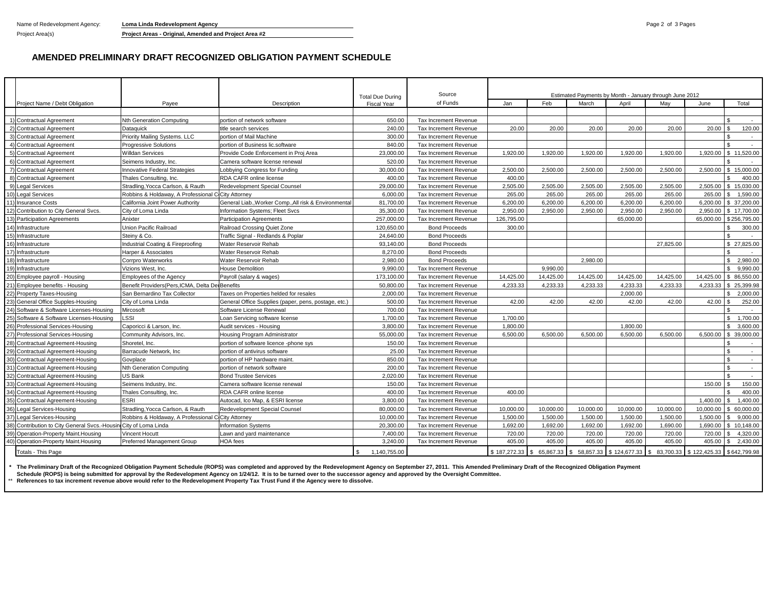Name of Redevelopment Agency: **Loma Linda Redevelopment Agency Pages Pages Pages Pages Pages Pages Pages Pages Pages Pages Pages Pages Pages Pages Pages Pages Pages Pages Pages Pages** 

Project Area(s) **Project Areas - Original, Amended and Project Area #2**

#### **AMENDED PRELIMINARY DRAFT RECOGNIZED OBLIGATION PAYMENT SCHEDULE**

|                                                                  |                                                    |                                                       | <b>Total Due During</b> | Source                       |              |                           |           | Estimated Payments by Month - January through June 2012 |           |              |                          |
|------------------------------------------------------------------|----------------------------------------------------|-------------------------------------------------------|-------------------------|------------------------------|--------------|---------------------------|-----------|---------------------------------------------------------|-----------|--------------|--------------------------|
| Project Name / Debt Obligation                                   | Payee                                              | Description                                           | <b>Fiscal Year</b>      | of Funds                     | Jan          | Feb                       | March     | April                                                   | Mav       | June         | Total                    |
|                                                                  |                                                    |                                                       |                         |                              |              |                           |           |                                                         |           |              |                          |
| 1) Contractual Agreement                                         | <b>Nth Generation Computing</b>                    | portion of network software                           | 650.00                  | Tax Increment Revenue        |              |                           |           |                                                         |           |              |                          |
| 2) Contractual Agreement                                         | Dataguick                                          | title search services                                 | 240.00                  | <b>Tax Increment Revenue</b> | 20.00        | 20.00                     | 20.00     | 20.00                                                   | 20.00     | 20.00        | 120.00                   |
| 3) Contractual Agreement                                         | Priority Mailing Systems. LLC                      | portion of Mail Machine                               | 300.00                  | <b>Tax Increment Revenue</b> |              |                           |           |                                                         |           |              | $\sim$                   |
| 4) Contractual Agreement                                         | <b>Progressive Solutions</b>                       | portion of Business lic.software                      | 840.00                  | <b>Tax Increment Revenue</b> |              |                           |           |                                                         |           |              |                          |
| 5) Contractual Agreement                                         | Willdan Services                                   | Provide Code Enforcement in Proj Area                 | 23,000.00               | <b>Tax Increment Revenue</b> | 1.920.00     | 1.920.00                  | 1.920.00  | 1.920.00                                                | 1,920.00  | 1.920.00     | 11.520.00<br>\$.         |
| 6) Contractual Agreement                                         | Seimens Industry, Inc.                             | Camera software license renewal                       | 520.00                  | <b>Tax Increment Revenue</b> |              |                           |           |                                                         |           |              |                          |
| 7) Contractual Agreement                                         | Innovative Federal Strategies                      | Lobbying Congress for Funding                         | 30,000.00               | Tax Increment Revenue        | 2,500.00     | 2,500.00                  | 2,500.00  | 2,500.00                                                | 2,500.00  | 2,500.00     | \$15,000.00              |
| 8) Contractual Agreement                                         | Thales Consulting, Inc.                            | RDA CAFR online license                               | 400.00                  | <b>Tax Increment Revenue</b> | 400.00       |                           |           |                                                         |           |              | 400.00                   |
| 9) Legal Services                                                | Stradling, Yocca Carlson, & Rauth                  | Redevelopment Special Counsel                         | 29,000.00               | Tax Increment Revenue        | 2,505.00     | 2.505.00                  | 2.505.00  | 2.505.00                                                | 2,505.00  | 2.505.00     | 15.030.00<br>\$          |
| 10) Legal Services                                               | Robbins & Holdaway, A Professional C City Attorney |                                                       | 6,000.00                | Tax Increment Revenue        | 265.00       | 265.00                    | 265.00    | 265.00                                                  | 265.00    | 265.00       | 1,590.00<br>-S           |
| 11) Insurance Costs                                              | California Joint Power Authority                   | General Liab., Worker Comp., All risk & Environmental | 81,700.00               | <b>Tax Increment Revenue</b> | 6,200.00     | 6,200.00                  | 6,200.00  | 6,200.00                                                | 6,200.00  | 6.200.00     | \$ 37,200.00             |
| 12) Contribution to City General Svcs.                           | City of Loma Linda                                 | Information Systems; Fleet Svcs                       | 35,300.00               | Tax Increment Revenue        | 2,950.00     | 2,950.00                  | 2,950.00  | 2,950.00                                                | 2,950.00  | 2,950.00     | \$17,700.00              |
| 13) Participation Agreements                                     | Anixter                                            | <b>Participation Agreements</b>                       | 257.000.00              | <b>Tax Increment Revenue</b> | 126,795.00   |                           |           | 65.000.00                                               |           | 65.000.00    | \$256,795.00             |
| 14) Infrastructure                                               | Union Pacific Railroad                             | Railroad Crossing Quiet Zone                          | 120,650.00              | <b>Bond Proceeds</b>         | 300.00       |                           |           |                                                         |           |              | 300.00<br>£.             |
| 15) Infrastructure                                               | Steiny & Co.                                       | Traffic Signal - Redlands & Poplar                    | 24,640.00               | <b>Bond Proceeds</b>         |              |                           |           |                                                         |           |              |                          |
| 16) Infrastructure                                               | Industrial Coating & Fireproofing                  | Water Reservoir Rehab                                 | 93.140.00               | <b>Bond Proceeds</b>         |              |                           |           |                                                         | 27.825.00 |              | \$27,825.00              |
| 17) Infrastructure                                               | Harper & Associates                                | Water Reservoir Rehab                                 | 8,270.00                | <b>Bond Proceeds</b>         |              |                           |           |                                                         |           |              | $\sim$                   |
| 18) Infrastructure                                               | Corrpro Waterworks                                 | Water Reservoir Rehab                                 | 2,980.00                | <b>Bond Proceeds</b>         |              |                           | 2.980.00  |                                                         |           |              | 2,980.00<br>$\mathbb{S}$ |
| 19) Infrastructure                                               | Vizions West, Inc.                                 | <b>House Demolition</b>                               | 9.990.00                | <b>Tax Increment Revenue</b> |              | 9.990.00                  |           |                                                         |           |              | 9.990.00<br>\$.          |
| 20) Employee payroll - Housing                                   | Employees of the Agency                            | Payroll (salary & wages)                              | 173,100.00              | <b>Tax Increment Revenue</b> | 14,425.00    | 14,425.00                 | 14,425.00 | 14,425.00                                               | 14,425.00 | 14,425.00    | 86,550.00<br>\$.         |
| 21) Employee benefits - Housing                                  | Benefit Providers (Pers. ICMA, Delta De Benefits   |                                                       | 50.800.00               | <b>Tax Increment Revenue</b> | 4.233.33     | 4.233.33                  | 4.233.33  | 4.233.33                                                | 4.233.33  | 4.233.33     | \$25,399.98              |
| 22) Property Taxes-Housing                                       | San Bernardino Tax Collector                       | Taxes on Properties helded for resales                | 2,000.00                | <b>Tax Increment Revenue</b> |              |                           |           | 2.000.00                                                |           |              | 2.000.00<br>£.           |
| 23) General Office Supples-Housing                               | City of Loma Linda                                 | General Office Supplies (paper, pens, postage, etc.)  | 500.00                  | Tax Increment Revenue        | 42.00        | 42.00                     | 42.00     | 42.00                                                   | 42.00     | 42.00        | 252.00                   |
| 24) Software & Software Licenses-Housing                         | Mircosoft                                          | Software License Renewal                              | 700.00                  | <b>Tax Increment Revenue</b> |              |                           |           |                                                         |           |              |                          |
| 25) Software & Software Licenses-Housing                         | _SSI                                               | Loan Servicing software license                       | 1.700.00                | <b>Tax Increment Revenue</b> | 1.700.00     |                           |           |                                                         |           |              | 1,700.00<br>\$.          |
| 26) Professional Services-Housing                                | Caporicci & Larson, Inc.                           | Audit services - Housing                              | 3,800.00                | Tax Increment Revenue        | 1,800.00     |                           |           | 1,800.00                                                |           |              | $\mathbb{S}$<br>3,600.00 |
| 27) Professional Services-Housing                                | Community Advisors, Inc.                           | Housing Program Administrator                         | 55,000.00               | <b>Tax Increment Revenue</b> | 6,500.00     | 6,500.00                  | 6,500.00  | 6,500.00                                                | 6,500.00  |              | 6,500.00 \$ 39,000.00    |
| 28) Contractual Agreement-Housing                                | Shoretel, Inc.                                     | portion of software licence -phone sys                | 150.00                  | <b>Tax Increment Revenue</b> |              |                           |           |                                                         |           |              | $\sim$                   |
| 29) Contractual Agreement-Housing                                | Barracude Network, Inc.                            | portion of antivirus software                         | 25.00                   | <b>Tax Increment Revenue</b> |              |                           |           |                                                         |           |              | £.<br>$\sim$             |
| 30) Contractual Agreement-Housing                                | Govplace                                           | portion of HP hardware maint.                         | 850.00                  | Tax Increment Revenue        |              |                           |           |                                                         |           |              |                          |
| 31) Contractual Agreement-Housing                                | Nth Generation Computing                           | portion of network software                           | 200.00                  | <b>Tax Increment Revenue</b> |              |                           |           |                                                         |           |              | ¢<br>$\sim$              |
| 32) Contractual Agreement-Housing                                | US Bank                                            | <b>Bond Trustee Services</b>                          | 2,020.00                | <b>Tax Increment Revenue</b> |              |                           |           |                                                         |           |              | $\sim$                   |
| 33) Contractual Agreement-Housing                                | Seimens Industry, Inc.                             | Camera software license renewal                       | 150.00                  | <b>Tax Increment Revenue</b> |              |                           |           |                                                         |           | 150.00       | 150.00                   |
| 34) Contractual Agreement-Housing                                | Thales Consulting, Inc.                            | RDA CAFR online license                               | 400.00                  | Tax Increment Revenue        | 400.00       |                           |           |                                                         |           |              | 400.00                   |
| 35) Contractual Agreement-Housing                                | <b>ESRI</b>                                        | Autocad, Ico Map, & ESRI license                      | 3.800.00                | <b>Tax Increment Revenue</b> |              |                           |           |                                                         |           | 1.400.00     | \$.<br>1.400.00          |
| 36) Legal Services-Housing                                       | Stradling, Yocca Carlson, & Rauth                  | Redevelopment Special Counsel                         | 80,000.00               | <b>Tax Increment Revenue</b> | 10,000.00    | 10.000.00                 | 10,000.00 | 10.000.00                                               | 10.000.00 | 10.000.00    | 60.000.00                |
| 37) Legal Services-Housing                                       | Robbins & Holdaway, A Professional C City Attorney |                                                       | 10.000.00               | <b>Tax Increment Revenue</b> | 1.500.00     | 1.500.00                  | 1.500.00  | 1.500.00                                                | 1.500.00  | 1.500.00     | 9.000.00<br>£.           |
| 38) Contribution to City General Svcs.-Housin City of Loma Linda |                                                    | <b>Information Systems</b>                            | 20,300.00               | <b>Tax Increment Revenue</b> | 1,692.00     | 1.692.00                  | 1,692.00  | 1.692.00                                                | 1.690.00  | 1.690.00     | \$10.148.00              |
| 39) Operation-Property Maint.Housing                             | <b>Vincent Hocutt</b>                              | Lawn and yard maintenance                             | 7,400.00                | <b>Tax Increment Revenue</b> | 720.00       | 720.00                    | 720.00    | 720.00                                                  | 720.00    | 720.00       | 4,320.00                 |
| 40) Operation-Property Maint.Housing                             | <b>Preferred Management Group</b>                  | HOA fees                                              | 3,240.00                | Tax Increment Revenue        | 405.00       | 405.00                    | 405.00    | 405.00                                                  | 405.00    | 405.00       | 2,430.00<br>-S           |
| Totals - This Page                                               |                                                    |                                                       | 1.140.755.00            |                              | \$187,272.33 | $\mathbb{S}$<br>65.867.33 |           | \$58,857.33 \$124,677.33 \$83,700.33                    |           | \$122,425.33 | \$642,799.98             |

**\*** \*\* **References to tax increment revenue above would refer to the Redevelopment Property Tax Trust Fund if the Agency were to dissolve.** The Preliminary Draft of the Recognized Obligation Payment Schedule (ROPS) was completed and approved by the Redevelopment Agency on September 27, 2011. This Amended Preliminary Draft of the Recognized Obligation Payment **Schedule (ROPS) is being submitted for approval by the Redevelopment Agency on 1/24/12. It is to be turned over to the successor agency and approved by the Oversight Committee.**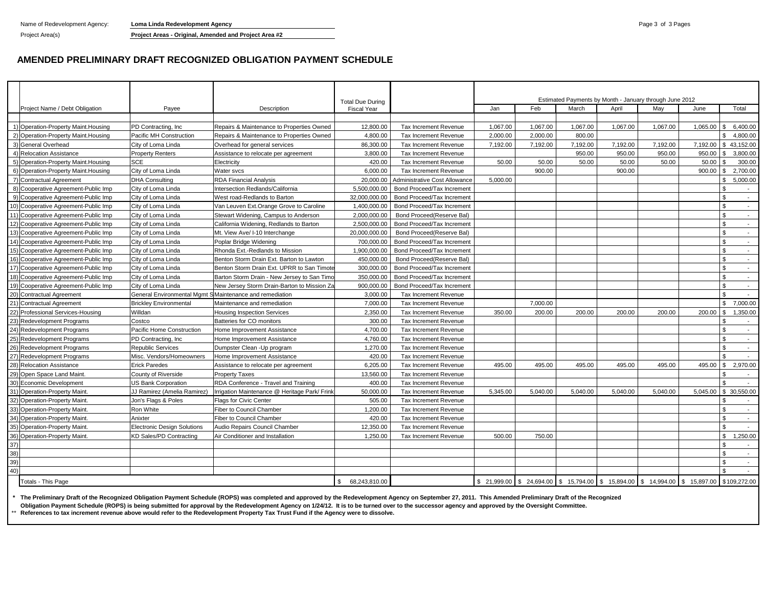Name of Redevelopment Agency: **Loma Linda Redevelopment Agency Page 3 of 3 Pages** and 3 Page 3 of 3 Pages 3 of 3 Pages

Project Area(s) **Project Areas - Original, Amended and Project Area #2**

#### **AMENDED PRELIMINARY DRAFT RECOGNIZED OBLIGATION PAYMENT SCHEDULE**

|     |                                      |                                                         |                                               | <b>Total Due During</b> |                               |          |          |          | Estimated Payments by Month - January through June 2012 |          |                                                                                            |                            |
|-----|--------------------------------------|---------------------------------------------------------|-----------------------------------------------|-------------------------|-------------------------------|----------|----------|----------|---------------------------------------------------------|----------|--------------------------------------------------------------------------------------------|----------------------------|
|     | Project Name / Debt Obligation       | Payee                                                   | Description                                   | <b>Fiscal Year</b>      |                               | Jan      | Feb      | March    | April                                                   | Mav      | June                                                                                       | Total                      |
|     |                                      |                                                         |                                               |                         |                               |          |          |          |                                                         |          |                                                                                            |                            |
|     | 1) Operation-Property Maint. Housing | PD Contracting, Inc.                                    | Repairs & Maintenance to Properties Owned     | 12.800.00               | Tax Increment Revenue         | 1,067.00 | 1.067.00 | 1.067.00 | 1.067.00                                                | 1.067.00 |                                                                                            | $1.065.00$   \$ 6.400.00   |
|     | 2) Operation-Property Maint.Housing  | Pacific MH Construction                                 | Repairs & Maintenance to Properties Owned     | 4.800.00                | Tax Increment Revenue         | 2,000.00 | 2.000.00 | 800.00   |                                                         |          |                                                                                            | $\mathfrak{L}$<br>4.800.00 |
|     | 3) General Overhead                  | City of Loma Linda                                      | Overhead for general services                 | 86,300.00               | Tax Increment Revenue         | 7,192.00 | 7,192.00 | 7,192.00 | 7,192.00                                                | 7,192.00 | 7,192.00                                                                                   | \$43,152.00                |
|     | 4) Relocation Assistance             | <b>Property Renters</b>                                 | Assistance to relocate per agreement          | 3,800.00                | Tax Increment Revenue         |          |          | 950.00   | 950.00                                                  | 950.00   | 950.00                                                                                     | 3,800.00<br>\$.            |
|     | 5) Operation-Property Maint.Housing  | <b>SCE</b>                                              | Electricity                                   | 420.00                  | <b>Tax Increment Revenue</b>  | 50.00    | 50.00    | 50.00    | 50.00                                                   | 50.00    | 50.00                                                                                      | 300.00                     |
|     | 6) Operation-Property Maint. Housing | City of Loma Linda                                      | Water svcs                                    | 6,000.00                | <b>Tax Increment Revenue</b>  |          | 900.00   |          | 900.00                                                  |          | 900.00                                                                                     | 2,700.00                   |
|     | 7) Contractual Agreement             | <b>DHA Consulting</b>                                   | <b>RDA Financial Analysis</b>                 | 20,000.00               | Administrative Cost Allowance | 5,000.00 |          |          |                                                         |          |                                                                                            | 5,000.00<br>S.             |
|     | 8) Cooperative Agreement-Public Imp  | City of Loma Linda                                      | Intersection Redlands/California              | 5.500.000.00            | Bond Proceed/Tax Increment    |          |          |          |                                                         |          |                                                                                            | ፍ<br>$\sim$                |
|     | 9) Cooperative Agreement-Public Imp  | City of Loma Linda                                      | West road-Redlands to Barton                  | 32.000.000.00           | Bond Proceed/Tax Increment    |          |          |          |                                                         |          |                                                                                            | $\mathfrak{L}$<br>$\sim$   |
|     | 10) Cooperative Agreement-Public Imp | City of Loma Linda                                      | Van Leuven Ext. Orange Grove to Caroline      | 1,400,000.00            | Bond Proceed/Tax Increment    |          |          |          |                                                         |          |                                                                                            | $\mathfrak{L}$<br>$\sim$   |
|     | 11) Cooperative Agreement-Public Imp | City of Loma Linda                                      | Stewart Widening, Campus to Anderson          | 2.000.000.00            | Bond Proceed (Reserve Bal)    |          |          |          |                                                         |          |                                                                                            | £.<br>$\sim$               |
|     | 12) Cooperative Agreement-Public Imp | City of Loma Linda                                      | California Widening, Redlands to Barton       | 2,500,000.00            | Bond Proceed/Tax Increment    |          |          |          |                                                         |          |                                                                                            | $\mathcal{F}$<br>$\sim$    |
|     | 13) Cooperative Agreement-Public Imp | City of Loma Linda                                      | Mt. View Ave/ I-10 Interchange                | 20,000,000.00           | Bond Proceed(Reserve Bal)     |          |          |          |                                                         |          |                                                                                            | £.<br>$\sim$               |
|     | 14) Cooperative Agreement-Public Imp | City of Loma Linda                                      | Poplar Bridge Widening                        | 700.000.00              | Bond Proceed/Tax Increment    |          |          |          |                                                         |          |                                                                                            | $\sim$                     |
|     | 15) Cooperative Agreement-Public Imp | City of Loma Linda                                      | Rhonda Ext.-Redlands to Mission               | 1.900.000.00            | Bond Proceed/Tax Increment    |          |          |          |                                                         |          |                                                                                            | <b>β</b><br>$\sim$         |
|     | 16) Cooperative Agreement-Public Imp | City of Loma Linda                                      | Benton Storm Drain Ext. Barton to Lawton      | 450.000.00              | Bond Proceed (Reserve Bal)    |          |          |          |                                                         |          |                                                                                            | ፍ<br>$\sim$                |
|     | 17) Cooperative Agreement-Public Imp | City of Loma Linda                                      | Benton Storm Drain Ext. UPRR to San Timote    | 300,000.00              | Bond Proceed/Tax Increment    |          |          |          |                                                         |          |                                                                                            | ፍ<br>$\sim$                |
|     | 18) Cooperative Agreement-Public Imp | City of Loma Linda                                      | Barton Storm Drain - New Jersey to San Timo   | 350,000.00              | Bond Proceed/Tax Increment    |          |          |          |                                                         |          |                                                                                            | $\sim$                     |
|     | 19) Cooperative Agreement-Public Imp | City of Loma Linda                                      | New Jersey Storm Drain-Barton to Mission Za   | 900.000.00              | Bond Proceed/Tax Increment    |          |          |          |                                                         |          |                                                                                            | $\mathfrak{L}$<br>$\sim$   |
|     | 20) Contractual Agreement            | General Environmental Mgmt SMaintenance and remediation |                                               | 3,000.00                | Tax Increment Revenue         |          |          |          |                                                         |          |                                                                                            | $\sim$                     |
|     | 21) Contractual Agreement            | <b>Brickley Environmental</b>                           | Maintenance and remediation                   | 7,000.00                | <b>Tax Increment Revenue</b>  |          | 7,000.00 |          |                                                         |          |                                                                                            | 7.000.00<br>$\mathbb{S}$   |
|     | 22) Professional Services-Housing    | Willdan                                                 | <b>Housing Inspection Services</b>            | 2,350.00                | <b>Tax Increment Revenue</b>  | 350.00   | 200.00   | 200.00   | 200.00                                                  | 200.00   | 200.00                                                                                     | 1.350.00<br>\$             |
|     | 23) Redevelopment Programs           | Costco                                                  | Batteries for CO monitors                     | 300.00                  | Tax Increment Revenue         |          |          |          |                                                         |          |                                                                                            | <b>β</b><br>$\overline{a}$ |
|     | 24) Redevelopment Programs           | Pacific Home Construction                               | Home Improvement Assistance                   | 4,700.00                | Tax Increment Revenue         |          |          |          |                                                         |          |                                                                                            | $\mathcal{L}$              |
|     | 25) Redevelopment Programs           | PD Contracting, Inc.                                    | Home Improvement Assistance                   | 4.760.00                | Tax Increment Revenue         |          |          |          |                                                         |          |                                                                                            | \$.<br>$\sim$              |
|     | 26) Redevelopment Programs           | <b>Republic Services</b>                                | Dumpster Clean - Up program                   | 1.270.00                | <b>Tax Increment Revenue</b>  |          |          |          |                                                         |          |                                                                                            | $\sim$                     |
|     | 27) Redevelopment Programs           | Misc. Vendors/Homeowners                                | Home Improvement Assistance                   | 420.00                  | Tax Increment Revenue         |          |          |          |                                                         |          |                                                                                            | $\sim$                     |
|     | 28) Relocation Assistance            | <b>Erick Paredes</b>                                    | Assistance to relocate per agreement          | 6,205.00                | Tax Increment Revenue         | 495.00   | 495.00   | 495.00   | 495.00                                                  | 495.00   | 495.00                                                                                     | 2,970.00<br>$\mathbf{s}$   |
|     | 29) Open Space Land Maint            | County of Riverside                                     | <b>Property Taxes</b>                         | 13,560.00               | Tax Increment Revenue         |          |          |          |                                                         |          |                                                                                            |                            |
|     | 30) Economic Development             | <b>US Bank Corporation</b>                              | RDA Conference - Travel and Training          | 400.00                  | Tax Increment Revenue         |          |          |          |                                                         |          |                                                                                            |                            |
|     | 31) Operation-Property Maint         | JJ Ramirez (Amelia Ramirez)                             | Irrigation Maintenance @ Heritage Park/ Frink | 50,000.00               | Tax Increment Revenue         | 5,345.00 | 5,040.00 | 5,040.00 | 5,040.00                                                | 5.040.00 | 5.045.00                                                                                   | \$ 30,550.00               |
|     | 32) Operation-Property Maint         | Jon's Flags & Poles                                     | Flags for Civic Center                        | 505.00                  | <b>Tax Increment Revenue</b>  |          |          |          |                                                         |          |                                                                                            |                            |
|     | 33) Operation-Property Maint         | Ron White                                               | Fiber to Council Chamber                      | 1,200.00                | Tax Increment Revenue         |          |          |          |                                                         |          |                                                                                            | $\sim$                     |
|     | 34) Operation-Property Maint.        | Anixter                                                 | Fiber to Council Chamber                      | 420.00                  | Tax Increment Revenue         |          |          |          |                                                         |          |                                                                                            | \$.<br>$\sim$              |
|     | 35) Operation-Property Maint.        | <b>Electronic Design Solutions</b>                      | Audio Repairs Council Chamber                 | 12,350.00               | Tax Increment Revenue         |          |          |          |                                                         |          |                                                                                            | \$<br>$\sim$               |
|     | 36) Operation-Property Maint.        | <b>KD Sales/PD Contracting</b>                          | Air Conditioner and Installation              | 1,250.00                | Tax Increment Revenue         | 500.00   | 750.00   |          |                                                         |          |                                                                                            | 1,250.00<br>$\mathbb{S}$   |
| 37) |                                      |                                                         |                                               |                         |                               |          |          |          |                                                         |          |                                                                                            |                            |
| 38) |                                      |                                                         |                                               |                         |                               |          |          |          |                                                         |          |                                                                                            | $\sim$                     |
| 39) |                                      |                                                         |                                               |                         |                               |          |          |          |                                                         |          |                                                                                            | $\overline{a}$             |
| 40) |                                      |                                                         |                                               |                         |                               |          |          |          |                                                         |          |                                                                                            | \$<br>$\sim$               |
|     |                                      |                                                         |                                               | 68,243,810.00           |                               |          |          |          |                                                         |          | \$ 21,999.00 \$ 24,694.00 \$ 15,794.00 \$ 15,894.00 \$ 14,994.00 \$ 15,897.00 \$109,272.00 |                            |
|     | Totals - This Page                   |                                                         |                                               |                         |                               |          |          |          |                                                         |          |                                                                                            |                            |

**\* The Preliminary Draft of the Recognized Obligation Payment Schedule (ROPS) was completed and approved by the Redevelopment Agency on September 27, 2011. This Amended Preliminary Draft of the Recognized**

**Obligation Payment Schedule (ROPS) is being submitted for approval by the Redevelopment Agency on 1/24/12. It is to be turned over to the successor agency and approved by the Oversight Committee.**

\*\* **References to tax increment revenue above would refer to the Redevelopment Property Tax Trust Fund if the Agency were to dissolve.**